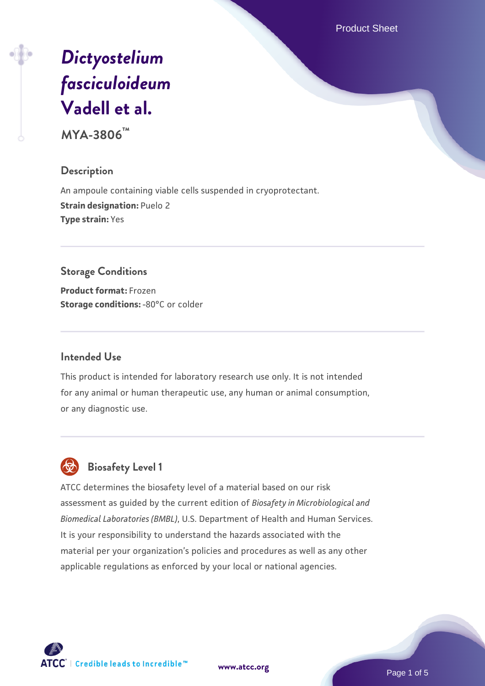Product Sheet

# *[Dictyostelium](https://www.atcc.org/products/mya-3806) [fasciculoideum](https://www.atcc.org/products/mya-3806)* **[Vadell et al.](https://www.atcc.org/products/mya-3806)**

**MYA-3806™**

# **Description**

An ampoule containing viable cells suspended in cryoprotectant. **Strain designation: Puelo 2 Type strain:** Yes

### **Storage Conditions**

**Product format:** Frozen **Storage conditions: -80°C or colder** 

# **Intended Use**

This product is intended for laboratory research use only. It is not intended for any animal or human therapeutic use, any human or animal consumption, or any diagnostic use.

# **Biosafety Level 1**

ATCC determines the biosafety level of a material based on our risk assessment as guided by the current edition of *Biosafety in Microbiological and Biomedical Laboratories (BMBL)*, U.S. Department of Health and Human Services. It is your responsibility to understand the hazards associated with the material per your organization's policies and procedures as well as any other applicable regulations as enforced by your local or national agencies.

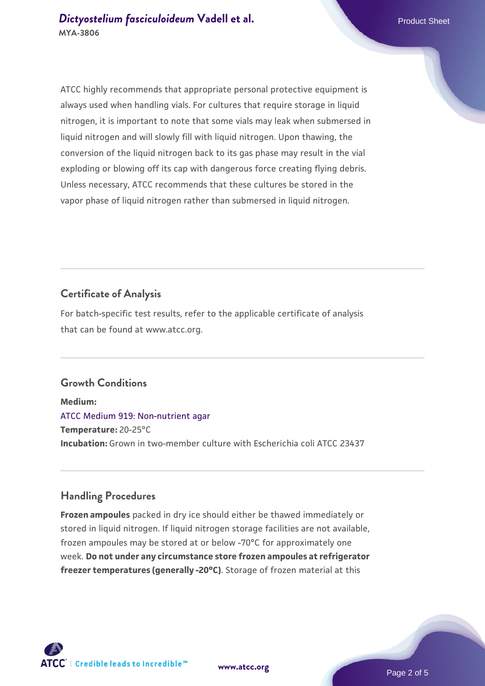ATCC highly recommends that appropriate personal protective equipment is always used when handling vials. For cultures that require storage in liquid nitrogen, it is important to note that some vials may leak when submersed in liquid nitrogen and will slowly fill with liquid nitrogen. Upon thawing, the conversion of the liquid nitrogen back to its gas phase may result in the vial exploding or blowing off its cap with dangerous force creating flying debris. Unless necessary, ATCC recommends that these cultures be stored in the vapor phase of liquid nitrogen rather than submersed in liquid nitrogen.

#### **Certificate of Analysis**

For batch-specific test results, refer to the applicable certificate of analysis that can be found at www.atcc.org.

#### **Growth Conditions**

**Medium:**  [ATCC Medium 919: Non-nutrient agar](https://www.atcc.org/-/media/product-assets/documents/microbial-media-formulations/9/1/9/atcc-medium-919.pdf?rev=f4e1e31d2b4249c2a4e4c31a4c703c9e) **Temperature:** 20-25°C **Incubation:** Grown in two-member culture with Escherichia coli ATCC 23437

#### **Handling Procedures**

**Frozen ampoules** packed in dry ice should either be thawed immediately or stored in liquid nitrogen. If liquid nitrogen storage facilities are not available, frozen ampoules may be stored at or below -70°C for approximately one week. **Do not under any circumstance store frozen ampoules at refrigerator freezer temperatures (generally -20°C)**. Storage of frozen material at this

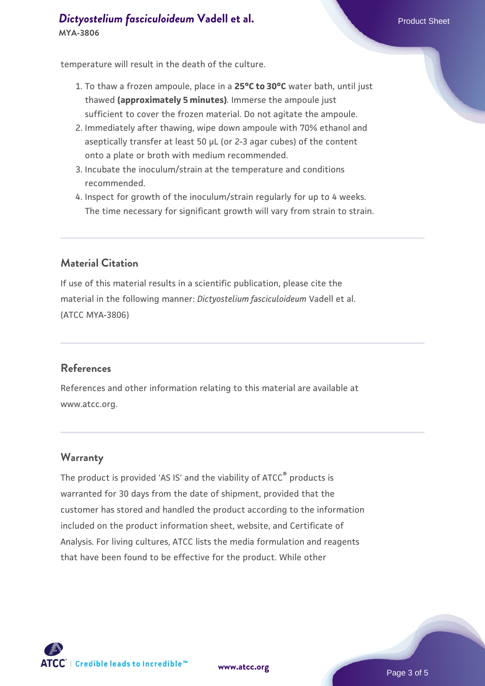# **[Dictyostelium fasciculoideum](https://www.atcc.org/products/mya-3806) [Vadell et al.](https://www.atcc.org/products/mya-3806)** Product Sheet **MYA-3806**

temperature will result in the death of the culture.

- 1. To thaw a frozen ampoule, place in a **25°C to 30°C** water bath, until just thawed **(approximately 5 minutes)**. Immerse the ampoule just sufficient to cover the frozen material. Do not agitate the ampoule.
- 2. Immediately after thawing, wipe down ampoule with 70% ethanol and aseptically transfer at least 50 µL (or 2-3 agar cubes) of the content onto a plate or broth with medium recommended.
- 3. Incubate the inoculum/strain at the temperature and conditions recommended.
- 4. Inspect for growth of the inoculum/strain regularly for up to 4 weeks. The time necessary for significant growth will vary from strain to strain.

# **Material Citation**

If use of this material results in a scientific publication, please cite the material in the following manner: *Dictyostelium fasciculoideum* Vadell et al. (ATCC MYA-3806)

#### **References**

References and other information relating to this material are available at www.atcc.org.

#### **Warranty**

The product is provided 'AS IS' and the viability of ATCC® products is warranted for 30 days from the date of shipment, provided that the customer has stored and handled the product according to the information included on the product information sheet, website, and Certificate of Analysis. For living cultures, ATCC lists the media formulation and reagents that have been found to be effective for the product. While other



**[www.atcc.org](http://www.atcc.org)**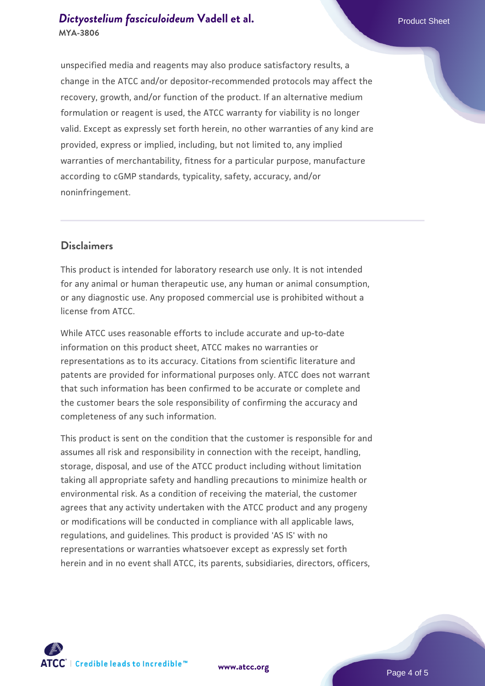# **[Dictyostelium fasciculoideum](https://www.atcc.org/products/mya-3806) [Vadell et al.](https://www.atcc.org/products/mya-3806)** Product Sheet **MYA-3806**

unspecified media and reagents may also produce satisfactory results, a change in the ATCC and/or depositor-recommended protocols may affect the recovery, growth, and/or function of the product. If an alternative medium formulation or reagent is used, the ATCC warranty for viability is no longer valid. Except as expressly set forth herein, no other warranties of any kind are provided, express or implied, including, but not limited to, any implied warranties of merchantability, fitness for a particular purpose, manufacture according to cGMP standards, typicality, safety, accuracy, and/or noninfringement.

### **Disclaimers**

This product is intended for laboratory research use only. It is not intended for any animal or human therapeutic use, any human or animal consumption, or any diagnostic use. Any proposed commercial use is prohibited without a license from ATCC.

While ATCC uses reasonable efforts to include accurate and up-to-date information on this product sheet, ATCC makes no warranties or representations as to its accuracy. Citations from scientific literature and patents are provided for informational purposes only. ATCC does not warrant that such information has been confirmed to be accurate or complete and the customer bears the sole responsibility of confirming the accuracy and completeness of any such information.

This product is sent on the condition that the customer is responsible for and assumes all risk and responsibility in connection with the receipt, handling, storage, disposal, and use of the ATCC product including without limitation taking all appropriate safety and handling precautions to minimize health or environmental risk. As a condition of receiving the material, the customer agrees that any activity undertaken with the ATCC product and any progeny or modifications will be conducted in compliance with all applicable laws, regulations, and guidelines. This product is provided 'AS IS' with no representations or warranties whatsoever except as expressly set forth herein and in no event shall ATCC, its parents, subsidiaries, directors, officers,